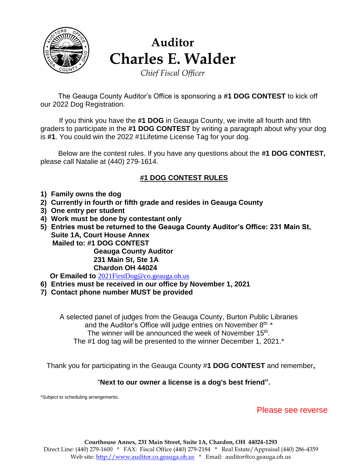

# **Auditor Charles E. Walder**

*Chief Fiscal Officer*

 The Geauga County Auditor's Office is sponsoring a **#1 DOG CONTEST** to kick off our 2022 Dog Registration.

 If you think you have the **#1 DOG** in Geauga County, we invite all fourth and fifth graders to participate in the **#1 DOG CONTEST** by writing a paragraph about why your dog is **#1**. You could win the 2022 #1Lifetime License Tag for your dog.

 Below are the contest rules. If you have any questions about the **#1 DOG CONTEST,**  please call Natalie at (440) 279-1614.

## **#1 DOG CONTEST RULES**

- **1) Family owns the dog**
- **2) Currently in fourth or fifth grade and resides in Geauga County**
- **3) One entry per student**
- **4) Work must be done by contestant only**
- **5) Entries must be returned to the Geauga County Auditor's Office: 231 Main St, Suite 1A, Court House Annex Mailed to: #1 DOG CONTEST Geauga County Auditor 231 Main St, Ste 1A Chardon OH 44024**

 **Or Emailed to** [2021FirstDog@co.geauga.oh.us](mailto:2021FirstDog@co.geauga.oh.us)

- **6) Entries must be received in our office by November 1, 2021**
- **7) Contact phone number MUST be provided**

A selected panel of judges from the Geauga County, Burton Public Libraries and the Auditor's Office will judge entries on November  $8<sup>th</sup>$ .\* The winner will be announced the week of November 15<sup>th</sup>. The #1 dog tag will be presented to the winner December 1, 2021.\*

Thank you for participating in the Geauga County #**1 DOG CONTEST** and remember**,**

#### "**Next to our owner a license is a dog's best friend".**

\*Subject to scheduling arrangements.

### Please see reverse